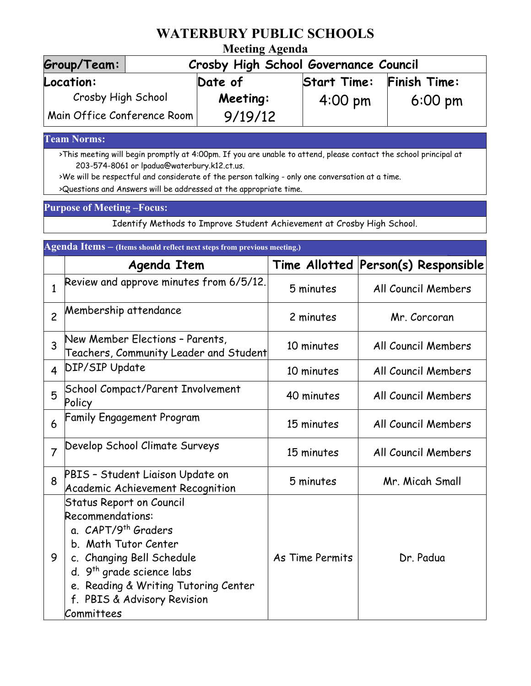# **WATERBURY PUBLIC SCHOOLS**

### **Meeting Agenda**

| Group/Team:                               | Crosby High School Governance Council |                    |                   |  |  |
|-------------------------------------------|---------------------------------------|--------------------|-------------------|--|--|
| Location:                                 | Date of                               | <b>Start Time:</b> | Finish Time:      |  |  |
| Crosby High School                        | Meeting:                              | $4:00 \text{ pm}$  | $6:00 \text{ pm}$ |  |  |
| $\mid$ Main Office Conference Room $\mid$ | 9/19/12                               |                    |                   |  |  |

#### **Team Norms:**

>This meeting will begin promptly at 4:00pm. If you are unable to attend, please contact the school principal at 203-574-8061 or lpadua@waterbury.k12.ct.us.

>We will be respectful and considerate of the person talking - only one conversation at a time. >Questions and Answers will be addressed at the appropriate time.

#### **Purpose of Meeting –Focus:**

Identify Methods to Improve Student Achievement at Crosby High School.

| Agenda Items - (Items should reflect next steps from previous meeting.) |                                                                                                                                                                                                                                                                           |                 |                                     |  |  |
|-------------------------------------------------------------------------|---------------------------------------------------------------------------------------------------------------------------------------------------------------------------------------------------------------------------------------------------------------------------|-----------------|-------------------------------------|--|--|
|                                                                         | Agenda Item                                                                                                                                                                                                                                                               |                 | Time Allotted Person(s) Responsible |  |  |
| $\mathbf{1}$                                                            | Review and approve minutes from 6/5/12.                                                                                                                                                                                                                                   | 5 minutes       | All Council Members                 |  |  |
| $\overline{c}$                                                          | Membership attendance                                                                                                                                                                                                                                                     | 2 minutes       | Mr. Corcoran                        |  |  |
| 3                                                                       | New Member Elections - Parents,<br>Teachers, Community Leader and Student                                                                                                                                                                                                 | 10 minutes      | All Council Members                 |  |  |
| 4                                                                       | <b>DIP/SIP Update</b>                                                                                                                                                                                                                                                     | 10 minutes      | All Council Members                 |  |  |
| 5                                                                       | <b>School Compact/Parent Involvement</b><br>Policy                                                                                                                                                                                                                        | 40 minutes      | All Council Members                 |  |  |
| 6                                                                       | <b>Family Engagement Program</b>                                                                                                                                                                                                                                          | 15 minutes      | All Council Members                 |  |  |
| $\overline{7}$                                                          | Develop School Climate Surveys                                                                                                                                                                                                                                            | 15 minutes      | All Council Members                 |  |  |
| 8                                                                       | PBIS - Student Liaison Update on<br>Academic Achievement Recognition                                                                                                                                                                                                      | 5 minutes       | Mr. Micah Small                     |  |  |
| 9                                                                       | <b>Status Report on Council</b><br>Recommendations:<br>a. CAPT/9 <sup>th</sup> Graders<br>b. Math Tutor Center<br>c. Changing Bell Schedule<br>d. 9 <sup>th</sup> grade science labs<br>e. Reading & Writing Tutoring Center<br>f. PBIS & Advisory Revision<br>Committees | As Time Permits | Dr. Padua                           |  |  |